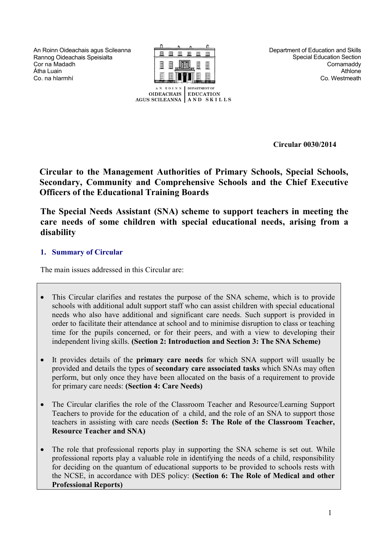An Roinn Oideachais agus Scileanna Rannog Oideachais Speisialta Cor na Madadh Átha Luain Co. na hlarmhí



Department of Education and Skills Special Education Section Cornamaddy Athlone Co. Westmeath

**Circular 0030/2014** 

**Circular to the Management Authorities of Primary Schools, Special Schools, Secondary, Community and Comprehensive Schools and the Chief Executive Officers of the Educational Training Boards**

**The Special Needs Assistant (SNA) scheme to support teachers in meeting the care needs of some children with special educational needs, arising from a disability**

# **1. Summary of Circular**

The main issues addressed in this Circular are:

- This Circular clarifies and restates the purpose of the SNA scheme, which is to provide schools with additional adult support staff who can assist children with special educational needs who also have additional and significant care needs. Such support is provided in order to facilitate their attendance at school and to minimise disruption to class or teaching time for the pupils concerned, or for their peers, and with a view to developing their independent living skills. **(Section 2: Introduction and Section 3: The SNA Scheme)**
- It provides details of the **primary care needs** for which SNA support will usually be provided and details the types of **secondary care associated tasks** which SNAs may often perform, but only once they have been allocated on the basis of a requirement to provide for primary care needs: **(Section 4: Care Needs)**
- The Circular clarifies the role of the Classroom Teacher and Resource/Learning Support Teachers to provide for the education of a child, and the role of an SNA to support those teachers in assisting with care needs **(Section 5: The Role of the Classroom Teacher, Resource Teacher and SNA)**
- The role that professional reports play in supporting the SNA scheme is set out. While professional reports play a valuable role in identifying the needs of a child, responsibility for deciding on the quantum of educational supports to be provided to schools rests with the NCSE, in accordance with DES policy: **(Section 6: The Role of Medical and other Professional Reports)**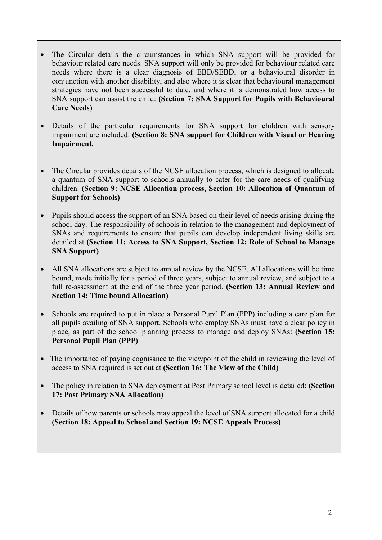- The Circular details the circumstances in which SNA support will be provided for behaviour related care needs. SNA support will only be provided for behaviour related care needs where there is a clear diagnosis of EBD/SEBD, or a behavioural disorder in conjunction with another disability, and also where it is clear that behavioural management strategies have not been successful to date, and where it is demonstrated how access to SNA support can assist the child: **(Section 7: SNA Support for Pupils with Behavioural Care Needs)**
- Details of the particular requirements for SNA support for children with sensory impairment are included: **(Section 8: SNA support for Children with Visual or Hearing Impairment.**
- The Circular provides details of the NCSE allocation process, which is designed to allocate a quantum of SNA support to schools annually to cater for the care needs of qualifying children. **(Section 9: NCSE Allocation process, Section 10: Allocation of Quantum of Support for Schools)**
- Pupils should access the support of an SNA based on their level of needs arising during the school day. The responsibility of schools in relation to the management and deployment of SNAs and requirements to ensure that pupils can develop independent living skills are detailed at **(Section 11: Access to SNA Support, Section 12: Role of School to Manage SNA Support)**
- All SNA allocations are subject to annual review by the NCSE. All allocations will be time bound, made initially for a period of three years, subject to annual review, and subject to a full re-assessment at the end of the three year period. **(Section 13: Annual Review and Section 14: Time bound Allocation)**
- Schools are required to put in place a Personal Pupil Plan (PPP) including a care plan for all pupils availing of SNA support. Schools who employ SNAs must have a clear policy in place, as part of the school planning process to manage and deploy SNAs: **(Section 15: Personal Pupil Plan (PPP)**
- The importance of paying cognisance to the viewpoint of the child in reviewing the level of access to SNA required is set out at **(Section 16: The View of the Child)**
- The policy in relation to SNA deployment at Post Primary school level is detailed: **(Section 17: Post Primary SNA Allocation)**
- Details of how parents or schools may appeal the level of SNA support allocated for a child **(Section 18: Appeal to School and Section 19: NCSE Appeals Process)**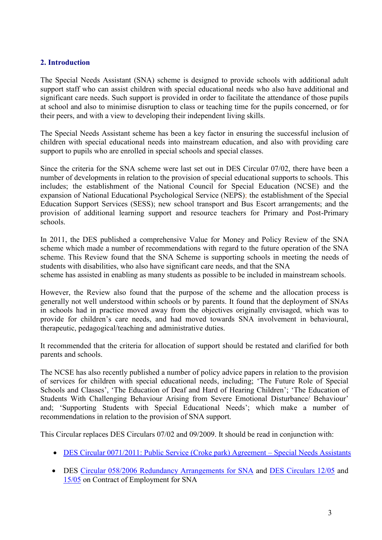# **2. Introduction**

The Special Needs Assistant (SNA) scheme is designed to provide schools with additional adult support staff who can assist children with special educational needs who also have additional and significant care needs. Such support is provided in order to facilitate the attendance of those pupils at school and also to minimise disruption to class or teaching time for the pupils concerned, or for their peers, and with a view to developing their independent living skills.

The Special Needs Assistant scheme has been a key factor in ensuring the successful inclusion of children with special educational needs into mainstream education, and also with providing care support to pupils who are enrolled in special schools and special classes.

Since the criteria for the SNA scheme were last set out in DES Circular 07/02, there have been a number of developments in relation to the provision of special educational supports to schools. This includes; the establishment of the National Council for Special Education (NCSE) and the expansion of National Educational Psychological Service (NEPS); the establishment of the Special Education Support Services (SESS); new school transport and Bus Escort arrangements; and the provision of additional learning support and resource teachers for Primary and Post-Primary schools.

In 2011, the DES published a comprehensive Value for Money and Policy Review of the SNA scheme which made a number of recommendations with regard to the future operation of the SNA scheme. This Review found that the SNA Scheme is supporting schools in meeting the needs of students with disabilities, who also have significant care needs, and that the SNA

scheme has assisted in enabling as many students as possible to be included in mainstream schools.

However, the Review also found that the purpose of the scheme and the allocation process is generally not well understood within schools or by parents. It found that the deployment of SNAs in schools had in practice moved away from the objectives originally envisaged, which was to provide for children's care needs, and had moved towards SNA involvement in behavioural, therapeutic, pedagogical/teaching and administrative duties.

It recommended that the criteria for allocation of support should be restated and clarified for both parents and schools.

The NCSE has also recently published a number of policy advice papers in relation to the provision of services for children with special educational needs, including; 'The Future Role of Special Schools and Classes', 'The Education of Deaf and Hard of Hearing Children'; 'The Education of Students With Challenging Behaviour Arising from Severe Emotional Disturbance/ Behaviour' and; 'Supporting Students with Special Educational Needs'; which make a number of recommendations in relation to the provision of SNA support.

This Circular replaces DES Circulars 07/02 and 09/2009. It should be read in conjunction with:

- [DES Circular 0071/2011: Public Service \(Croke park\) Agreement](http://www.education.ie/en/Circulars-and-Forms/Active-Circulars/cl0071_2011.pdf)  Special Needs Assistants
- DES [Circular 058/2006 Redundancy Arrangements for SNA](http://www.education.ie/en/Circulars-and-Forms/Active-Circulars/cl0058_2006.doc) and [DES Circulars 12/05](http://www.education.ie/en/Circulars-and-Forms/Active-Circulars/sna12_05.pdf) and [15/05](http://www.education.ie/en/Circulars-and-Forms/Active-Circulars/sna15_05.pdf) on Contract of Employment for SNA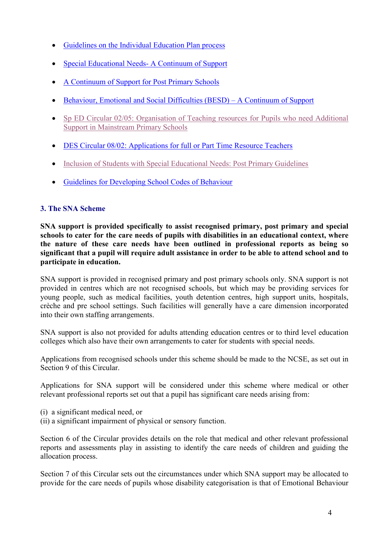- [Guidelines on the Individual](http://www.ncse.ie/uploads/1/final_report.pdf) Education Plan process
- [Special Educational Needs-](http://www.education.ie/en/Schools-Colleges/Services/Educational-Psychologist-NEPS-/neps_special_needs_resource_pack.pdf) A Continuum of Support
- A Continuum of Support for Post Primary Schools
- [Behaviour, Emotional and Social Difficulties \(BESD\)](http://www.education.ie/en/Schools-Colleges/Services/Educational-Psychologist-NEPS-/neps_besd_continuum_teacher_guide.pdf)  A Continuum of Support
- [Sp ED Circular 02/05: Organisation of Teaching resources](http://www.education.ie/en/Circulars-and-Forms/Active-Circulars/sped02_05.pdf) for Pupils who need Additional [Support in Mainstream Primary Schools](http://www.education.ie/en/Circulars-and-Forms/Active-Circulars/sped02_05.pdf)
- [DES Circular 08/02: Applications for full or Part Time Resource Teachers](http://www.education.ie/en/Circulars-and-Forms/Archived-Circulars/Applications-for-full-time-or-part-time-resource-teacher-support-to-address-the-special-education-needs-of-children-with-disabilities.pdf)
- [Inclusion of Students with Special Educational Needs: Post Primary Guidelines](http://www.education.ie/en/Circulars-and-Forms/Archived-Circulars/Applications-for-full-time-or-part-time-resource-teacher-support-to-address-the-special-education-needs-of-children-with-disabilities.pdf)
- [Guidelines for Developing School Codes of](http://www.newb.ie/codes_of_behaviour_guidelines/introduction.asp) Behaviour

# **3. The SNA Scheme**

**SNA support is provided specifically to assist recognised primary, post primary and special schools to cater for the care needs of pupils with disabilities in an educational context, where the nature of these care needs have been outlined in professional reports as being so significant that a pupil will require adult assistance in order to be able to attend school and to participate in education.**

SNA support is provided in recognised primary and post primary schools only. SNA support is not provided in centres which are not recognised schools, but which may be providing services for young people, such as medical facilities, youth detention centres, high support units, hospitals, crèche and pre school settings. Such facilities will generally have a care dimension incorporated into their own staffing arrangements.

SNA support is also not provided for adults attending education centres or to third level education colleges which also have their own arrangements to cater for students with special needs.

Applications from recognised schools under this scheme should be made to the NCSE, as set out in Section 9 of this Circular.

Applications for SNA support will be considered under this scheme where medical or other relevant professional reports set out that a pupil has significant care needs arising from:

- (i) a significant medical need, or
- (ii) a significant impairment of physical or sensory function.

Section 6 of the Circular provides details on the role that medical and other relevant professional reports and assessments play in assisting to identify the care needs of children and guiding the allocation process.

Section 7 of this Circular sets out the circumstances under which SNA support may be allocated to provide for the care needs of pupils whose disability categorisation is that of Emotional Behaviour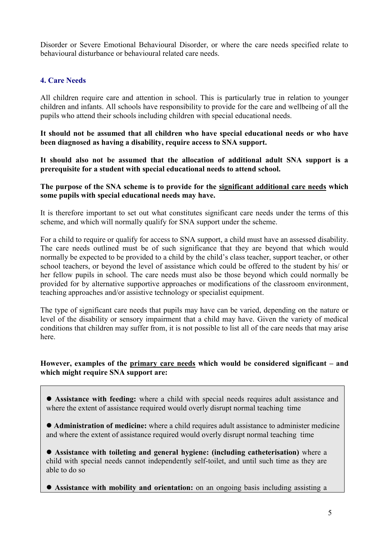Disorder or Severe Emotional Behavioural Disorder, or where the care needs specified relate to behavioural disturbance or behavioural related care needs.

# **4. Care Needs**

All children require care and attention in school. This is particularly true in relation to younger children and infants. All schools have responsibility to provide for the care and wellbeing of all the pupils who attend their schools including children with special educational needs.

**It should not be assumed that all children who have special educational needs or who have been diagnosed as having a disability, require access to SNA support.** 

**It should also not be assumed that the allocation of additional adult SNA support is a prerequisite for a student with special educational needs to attend school.**

**The purpose of the SNA scheme is to provide for the significant additional care needs which some pupils with special educational needs may have.**

It is therefore important to set out what constitutes significant care needs under the terms of this scheme, and which will normally qualify for SNA support under the scheme.

For a child to require or qualify for access to SNA support, a child must have an assessed disability. The care needs outlined must be of such significance that they are beyond that which would normally be expected to be provided to a child by the child's class teacher, support teacher, or other school teachers, or beyond the level of assistance which could be offered to the student by his/ or her fellow pupils in school. The care needs must also be those beyond which could normally be provided for by alternative supportive approaches or modifications of the classroom environment, teaching approaches and/or assistive technology or specialist equipment.

The type of significant care needs that pupils may have can be varied, depending on the nature or level of the disability or sensory impairment that a child may have. Given the variety of medical conditions that children may suffer from, it is not possible to list all of the care needs that may arise here.

## **However, examples of the primary care needs which would be considered significant – and which might require SNA support are:**

 **Assistance with feeding:** where a child with special needs requires adult assistance and where the extent of assistance required would overly disrupt normal teaching time

 **Administration of medicine:** where a child requires adult assistance to administer medicine and where the extent of assistance required would overly disrupt normal teaching time

 **Assistance with toileting and general hygiene: (including catheterisation)** where a child with special needs cannot independently self-toilet, and until such time as they are able to do so

**Assistance with mobility and orientation:** on an ongoing basis including assisting a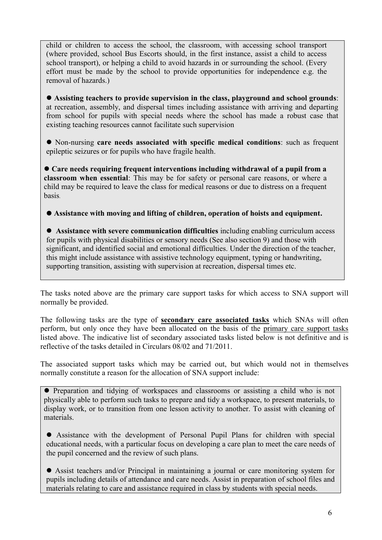child or children to access the school, the classroom, with accessing school transport (where provided, school Bus Escorts should, in the first instance, assist a child to access school transport), or helping a child to avoid hazards in or surrounding the school. (Every effort must be made by the school to provide opportunities for independence e.g. the removal of hazards.)

 **Assisting teachers to provide supervision in the class, playground and school grounds**: at recreation, assembly, and dispersal times including assistance with arriving and departing from school for pupils with special needs where the school has made a robust case that existing teaching resources cannot facilitate such supervision

 Non-nursing **care needs associated with specific medical conditions**: such as frequent epileptic seizures or for pupils who have fragile health.

 **Care needs requiring frequent interventions including withdrawal of a pupil from a classroom when essential**: This may be for safety or personal care reasons, or where a child may be required to leave the class for medical reasons or due to distress on a frequent basis.

**Assistance with moving and lifting of children, operation of hoists and equipment.**

 **Assistance with severe communication difficulties** including enabling curriculum access for pupils with physical disabilities or sensory needs (See also section 9) and those with significant, and identified social and emotional difficulties. Under the direction of the teacher, this might include assistance with assistive technology equipment, typing or handwriting, supporting transition, assisting with supervision at recreation, dispersal times etc.

The tasks noted above are the primary care support tasks for which access to SNA support will normally be provided.

The following tasks are the type of **secondary care associated tasks** which SNAs will often perform, but only once they have been allocated on the basis of the primary care support tasks listed above. The indicative list of secondary associated tasks listed below is not definitive and is reflective of the tasks detailed in Circulars 08/02 and 71/2011.

The associated support tasks which may be carried out, but which would not in themselves normally constitute a reason for the allocation of SNA support include:

• Preparation and tidying of workspaces and classrooms or assisting a child who is not physically able to perform such tasks to prepare and tidy a workspace, to present materials, to display work, or to transition from one lesson activity to another. To assist with cleaning of materials.

 Assistance with the development of Personal Pupil Plans for children with special educational needs, with a particular focus on developing a care plan to meet the care needs of the pupil concerned and the review of such plans.

 Assist teachers and/or Principal in maintaining a journal or care monitoring system for pupils including details of attendance and care needs. Assist in preparation of school files and materials relating to care and assistance required in class by students with special needs.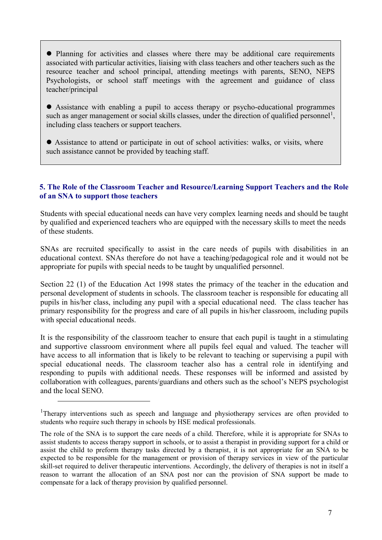Planning for activities and classes where there may be additional care requirements associated with particular activities, liaising with class teachers and other teachers such as the resource teacher and school principal, attending meetings with parents, SENO, NEPS Psychologists, or school staff meetings with the agreement and guidance of class teacher/principal

 Assistance with enabling a pupil to access therapy or psycho-educational programmes such as anger management or social skills classes, under the direction of qualified personnel<sup>1</sup>, including class teachers or support teachers.

 Assistance to attend or participate in out of school activities: walks, or visits, where such assistance cannot be provided by teaching staff.

## **5. The Role of the Classroom Teacher and Resource/Learning Support Teachers and the Role of an SNA to support those teachers**

Students with special educational needs can have very complex learning needs and should be taught by qualified and experienced teachers who are equipped with the necessary skills to meet the needs of these students.

SNAs are recruited specifically to assist in the care needs of pupils with disabilities in an educational context. SNAs therefore do not have a teaching/pedagogical role and it would not be appropriate for pupils with special needs to be taught by unqualified personnel.

Section 22 (1) of the Education Act 1998 states the primacy of the teacher in the education and personal development of students in schools. The classroom teacher is responsible for educating all pupils in his/her class, including any pupil with a special educational need. The class teacher has primary responsibility for the progress and care of all pupils in his/her classroom, including pupils with special educational needs.

It is the responsibility of the classroom teacher to ensure that each pupil is taught in a stimulating and supportive classroom environment where all pupils feel equal and valued. The teacher will have access to all information that is likely to be relevant to teaching or supervising a pupil with special educational needs. The classroom teacher also has a central role in identifying and responding to pupils with additional needs. These responses will be informed and assisted by collaboration with colleagues, parents/guardians and others such as the school's NEPS psychologist and the local SENO.

<u>.</u>

<sup>&</sup>lt;sup>1</sup>Therapy interventions such as speech and language and physiotherapy services are often provided to students who require such therapy in schools by HSE medical professionals.

The role of the SNA is to support the care needs of a child. Therefore, while it is appropriate for SNAs to assist students to access therapy support in schools, or to assist a therapist in providing support for a child or assist the child to preform therapy tasks directed by a therapist, it is not appropriate for an SNA to be expected to be responsible for the management or provision of therapy services in view of the particular skill-set required to deliver therapeutic interventions. Accordingly, the delivery of therapies is not in itself a reason to warrant the allocation of an SNA post nor can the provision of SNA support be made to compensate for a lack of therapy provision by qualified personnel.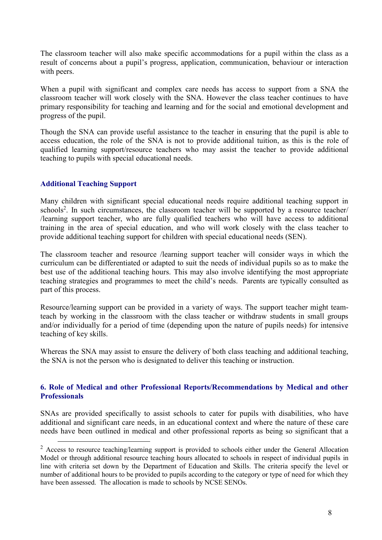The classroom teacher will also make specific accommodations for a pupil within the class as a result of concerns about a pupil's progress, application, communication, behaviour or interaction with peers.

When a pupil with significant and complex care needs has access to support from a SNA the classroom teacher will work closely with the SNA. However the class teacher continues to have primary responsibility for teaching and learning and for the social and emotional development and progress of the pupil.

Though the SNA can provide useful assistance to the teacher in ensuring that the pupil is able to access education, the role of the SNA is not to provide additional tuition, as this is the role of qualified learning support/resource teachers who may assist the teacher to provide additional teaching to pupils with special educational needs.

## **Additional Teaching Support**

1

Many children with significant special educational needs require additional teaching support in schools<sup>2</sup>. In such circumstances, the classroom teacher will be supported by a resource teacher/ /learning support teacher, who are fully qualified teachers who will have access to additional training in the area of special education, and who will work closely with the class teacher to provide additional teaching support for children with special educational needs (SEN).

The classroom teacher and resource /learning support teacher will consider ways in which the curriculum can be differentiated or adapted to suit the needs of individual pupils so as to make the best use of the additional teaching hours. This may also involve identifying the most appropriate teaching strategies and programmes to meet the child's needs. Parents are typically consulted as part of this process.

Resource/learning support can be provided in a variety of ways. The support teacher might teamteach by working in the classroom with the class teacher or withdraw students in small groups and/or individually for a period of time (depending upon the nature of pupils needs) for intensive teaching of key skills.

Whereas the SNA may assist to ensure the delivery of both class teaching and additional teaching, the SNA is not the person who is designated to deliver this teaching or instruction.

## **6. Role of Medical and other Professional Reports/Recommendations by Medical and other Professionals**

SNAs are provided specifically to assist schools to cater for pupils with disabilities, who have additional and significant care needs, in an educational context and where the nature of these care needs have been outlined in medical and other professional reports as being so significant that a

<sup>&</sup>lt;sup>2</sup> Access to resource teaching/learning support is provided to schools either under the General Allocation Model or through additional resource teaching hours allocated to schools in respect of individual pupils in line with criteria set down by the Department of Education and Skills. The criteria specify the level or number of additional hours to be provided to pupils according to the category or type of need for which they have been assessed. The allocation is made to schools by NCSE SENOs.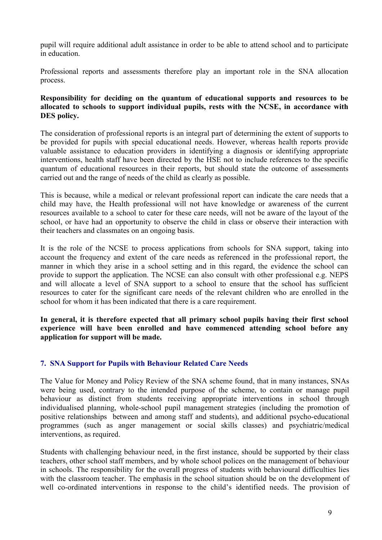pupil will require additional adult assistance in order to be able to attend school and to participate in education.

Professional reports and assessments therefore play an important role in the SNA allocation process.

### **Responsibility for deciding on the quantum of educational supports and resources to be allocated to schools to support individual pupils, rests with the NCSE, in accordance with DES policy.**

The consideration of professional reports is an integral part of determining the extent of supports to be provided for pupils with special educational needs. However, whereas health reports provide valuable assistance to education providers in identifying a diagnosis or identifying appropriate interventions, health staff have been directed by the HSE not to include references to the specific quantum of educational resources in their reports, but should state the outcome of assessments carried out and the range of needs of the child as clearly as possible.

This is because, while a medical or relevant professional report can indicate the care needs that a child may have, the Health professional will not have knowledge or awareness of the current resources available to a school to cater for these care needs, will not be aware of the layout of the school, or have had an opportunity to observe the child in class or observe their interaction with their teachers and classmates on an ongoing basis.

It is the role of the NCSE to process applications from schools for SNA support, taking into account the frequency and extent of the care needs as referenced in the professional report, the manner in which they arise in a school setting and in this regard, the evidence the school can provide to support the application. The NCSE can also consult with other professional e.g. NEPS and will allocate a level of SNA support to a school to ensure that the school has sufficient resources to cater for the significant care needs of the relevant children who are enrolled in the school for whom it has been indicated that there is a care requirement.

**In general, it is therefore expected that all primary school pupils having their first school experience will have been enrolled and have commenced attending school before any application for support will be made.**

## **7. SNA Support for Pupils with Behaviour Related Care Needs**

The Value for Money and Policy Review of the SNA scheme found, that in many instances, SNAs were being used, contrary to the intended purpose of the scheme, to contain or manage pupil behaviour as distinct from students receiving appropriate interventions in school through individualised planning, whole-school pupil management strategies (including the promotion of positive relationships between and among staff and students), and additional psycho-educational programmes (such as anger management or social skills classes) and psychiatric/medical interventions, as required.

Students with challenging behaviour need, in the first instance, should be supported by their class teachers, other school staff members, and by whole school polices on the management of behaviour in schools. The responsibility for the overall progress of students with behavioural difficulties lies with the classroom teacher. The emphasis in the school situation should be on the development of well co-ordinated interventions in response to the child's identified needs. The provision of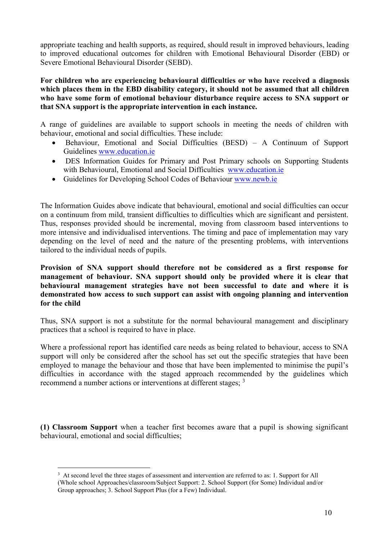appropriate teaching and health supports, as required, should result in improved behaviours, leading to improved educational outcomes for children with Emotional Behavioural Disorder (EBD) or Severe Emotional Behavioural Disorder (SEBD).

#### **For children who are experiencing behavioural difficulties or who have received a diagnosis which places them in the EBD disability category, it should not be assumed that all children who have some form of emotional behaviour disturbance require access to SNA support or that SNA support is the appropriate intervention in each instance.**

A range of guidelines are available to support schools in meeting the needs of children with behaviour, emotional and social difficulties. These include:

- Behaviour, Emotional and Social Difficulties (BESD) A Continuum of Support Guidelines [www.education.ie](http://www.education.ie/)
- DES Information Guides for Primary and Post Primary schools on Supporting Students with Behavioural, Emotional and Social Difficulties [www.education.ie](http://www.education.ie/)
- Guidelines for Developing School Codes of Behaviour [www.newb.ie](http://www.newb.ie/)

The Information Guides above indicate that behavioural, emotional and social difficulties can occur on a continuum from mild, transient difficulties to difficulties which are significant and persistent. Thus, responses provided should be incremental, moving from classroom based interventions to more intensive and individualised interventions. The timing and pace of implementation may vary depending on the level of need and the nature of the presenting problems, with interventions tailored to the individual needs of pupils.

**Provision of SNA support should therefore not be considered as a first response for management of behaviour. SNA support should only be provided where it is clear that behavioural management strategies have not been successful to date and where it is demonstrated how access to such support can assist with ongoing planning and intervention for the child**

Thus, SNA support is not a substitute for the normal behavioural management and disciplinary practices that a school is required to have in place.

Where a professional report has identified care needs as being related to behaviour, access to SNA support will only be considered after the school has set out the specific strategies that have been employed to manage the behaviour and those that have been implemented to minimise the pupil's difficulties in accordance with the staged approach recommended by the guidelines which recommend a number actions or interventions at different stages; <sup>3</sup>

**(1) Classroom Support** when a teacher first becomes aware that a pupil is showing significant behavioural, emotional and social difficulties;

<u>.</u>

<sup>3</sup> At second level the three stages of assessment and intervention are referred to as: 1. Support for All (Whole school Approaches/classroom/Subject Support: 2. School Support (for Some) Individual and/or Group approaches; 3. School Support Plus (for a Few) Individual.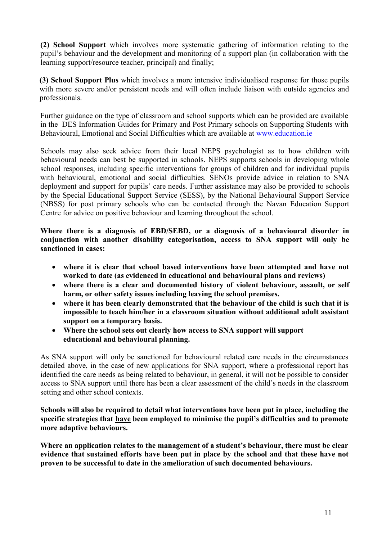**(2) School Support** which involves more systematic gathering of information relating to the pupil's behaviour and the development and monitoring of a support plan (in collaboration with the learning support/resource teacher, principal) and finally;

**(3) School Support Plus** which involves a more intensive individualised response for those pupils with more severe and/or persistent needs and will often include liaison with outside agencies and professionals.

Further guidance on the type of classroom and school supports which can be provided are available in the DES Information Guides for Primary and Post Primary schools on Supporting Students with Behavioural, Emotional and Social Difficulties which are available at [www.education.ie](http://www.education.ie/)

Schools may also seek advice from their local NEPS psychologist as to how children with behavioural needs can best be supported in schools. NEPS supports schools in developing whole school responses, including specific interventions for groups of children and for individual pupils with behavioural, emotional and social difficulties. SENOs provide advice in relation to SNA deployment and support for pupils' care needs. Further assistance may also be provided to schools by the Special Educational Support Service (SESS), by the National Behavioural Support Service (NBSS) for post primary schools who can be contacted through the Navan Education Support Centre for advice on positive behaviour and learning throughout the school.

**Where there is a diagnosis of EBD/SEBD, or a diagnosis of a behavioural disorder in conjunction with another disability categorisation, access to SNA support will only be sanctioned in cases:** 

- **where it is clear that school based interventions have been attempted and have not worked to date (as evidenced in educational and behavioural plans and reviews)**
- **where there is a clear and documented history of violent behaviour, assault, or self harm, or other safety issues including leaving the school premises.**
- **where it has been clearly demonstrated that the behaviour of the child is such that it is impossible to teach him/her in a classroom situation without additional adult assistant support on a temporary basis.**
- **Where the school sets out clearly how access to SNA support will support educational and behavioural planning.**

As SNA support will only be sanctioned for behavioural related care needs in the circumstances detailed above, in the case of new applications for SNA support, where a professional report has identified the care needs as being related to behaviour, in general, it will not be possible to consider access to SNA support until there has been a clear assessment of the child's needs in the classroom setting and other school contexts.

**Schools will also be required to detail what interventions have been put in place, including the specific strategies that have been employed to minimise the pupil's difficulties and to promote more adaptive behaviours.**

**Where an application relates to the management of a student's behaviour, there must be clear evidence that sustained efforts have been put in place by the school and that these have not proven to be successful to date in the amelioration of such documented behaviours.**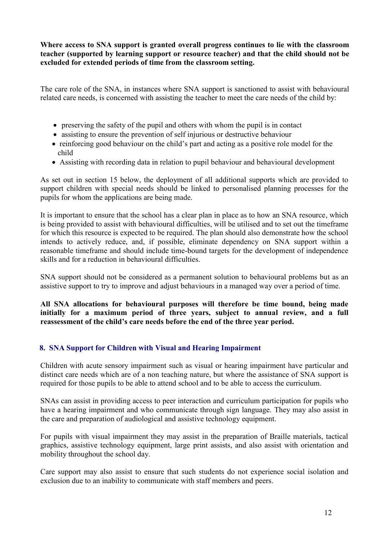### **Where access to SNA support is granted overall progress continues to lie with the classroom teacher (supported by learning support or resource teacher) and that the child should not be excluded for extended periods of time from the classroom setting.**

The care role of the SNA, in instances where SNA support is sanctioned to assist with behavioural related care needs, is concerned with assisting the teacher to meet the care needs of the child by:

- preserving the safety of the pupil and others with whom the pupil is in contact
- assisting to ensure the prevention of self injurious or destructive behaviour
- reinforcing good behaviour on the child's part and acting as a positive role model for the child
- Assisting with recording data in relation to pupil behaviour and behavioural development

As set out in section 15 below, the deployment of all additional supports which are provided to support children with special needs should be linked to personalised planning processes for the pupils for whom the applications are being made.

It is important to ensure that the school has a clear plan in place as to how an SNA resource, which is being provided to assist with behavioural difficulties, will be utilised and to set out the timeframe for which this resource is expected to be required. The plan should also demonstrate how the school intends to actively reduce, and, if possible, eliminate dependency on SNA support within a reasonable timeframe and should include time-bound targets for the development of independence skills and for a reduction in behavioural difficulties.

SNA support should not be considered as a permanent solution to behavioural problems but as an assistive support to try to improve and adjust behaviours in a managed way over a period of time.

**All SNA allocations for behavioural purposes will therefore be time bound, being made initially for a maximum period of three years, subject to annual review, and a full reassessment of the child's care needs before the end of the three year period.** 

## **8. SNA Support for Children with Visual and Hearing Impairment**

Children with acute sensory impairment such as visual or hearing impairment have particular and distinct care needs which are of a non teaching nature, but where the assistance of SNA support is required for those pupils to be able to attend school and to be able to access the curriculum.

SNAs can assist in providing access to peer interaction and curriculum participation for pupils who have a hearing impairment and who communicate through sign language. They may also assist in the care and preparation of audiological and assistive technology equipment.

For pupils with visual impairment they may assist in the preparation of Braille materials, tactical graphics, assistive technology equipment, large print assists, and also assist with orientation and mobility throughout the school day.

Care support may also assist to ensure that such students do not experience social isolation and exclusion due to an inability to communicate with staff members and peers.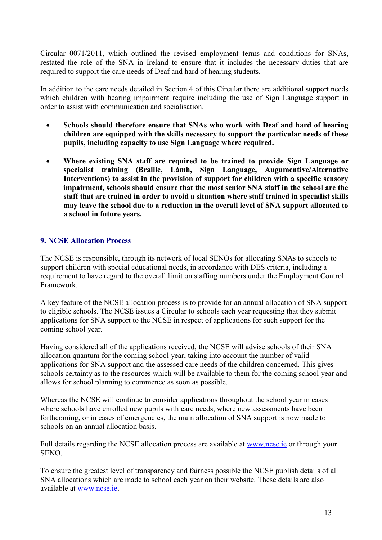Circular 0071/2011, which outlined the revised employment terms and conditions for SNAs, restated the role of the SNA in Ireland to ensure that it includes the necessary duties that are required to support the care needs of Deaf and hard of hearing students.

In addition to the care needs detailed in Section 4 of this Circular there are additional support needs which children with hearing impairment require including the use of Sign Language support in order to assist with communication and socialisation.

- **Schools should therefore ensure that SNAs who work with Deaf and hard of hearing children are equipped with the skills necessary to support the particular needs of these pupils, including capacity to use Sign Language where required.**
- **Where existing SNA staff are required to be trained to provide Sign Language or specialist training (Braille, Lámh, Sign Language, Augumentive/Alternative Interventions) to assist in the provision of support for children with a specific sensory impairment, schools should ensure that the most senior SNA staff in the school are the staff that are trained in order to avoid a situation where staff trained in specialist skills may leave the school due to a reduction in the overall level of SNA support allocated to a school in future years.**

## **9. NCSE Allocation Process**

The NCSE is responsible, through its network of local SENOs for allocating SNAs to schools to support children with special educational needs, in accordance with DES criteria, including a requirement to have regard to the overall limit on staffing numbers under the Employment Control Framework.

A key feature of the NCSE allocation process is to provide for an annual allocation of SNA support to eligible schools. The NCSE issues a Circular to schools each year requesting that they submit applications for SNA support to the NCSE in respect of applications for such support for the coming school year.

Having considered all of the applications received, the NCSE will advise schools of their SNA allocation quantum for the coming school year, taking into account the number of valid applications for SNA support and the assessed care needs of the children concerned. This gives schools certainty as to the resources which will be available to them for the coming school year and allows for school planning to commence as soon as possible.

Whereas the NCSE will continue to consider applications throughout the school year in cases where schools have enrolled new pupils with care needs, where new assessments have been forthcoming, or in cases of emergencies, the main allocation of SNA support is now made to schools on an annual allocation basis.

Full details regarding the NCSE allocation process are available at [www.ncse.ie](http://www.ncse.ie/) or through your SENO.

To ensure the greatest level of transparency and fairness possible the NCSE publish details of all SNA allocations which are made to school each year on their website. These details are also available at [www.ncse.ie.](http://www.ncse.ie/)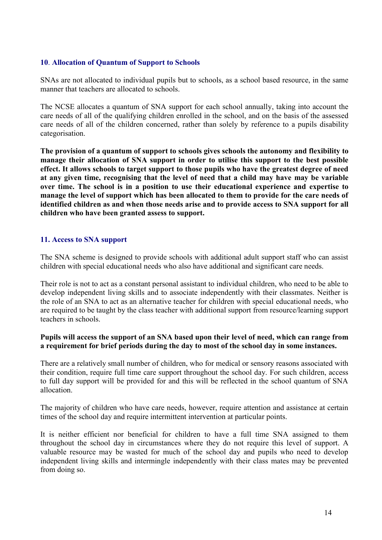#### **10**. **Allocation of Quantum of Support to Schools**

SNAs are not allocated to individual pupils but to schools, as a school based resource, in the same manner that teachers are allocated to schools.

The NCSE allocates a quantum of SNA support for each school annually, taking into account the care needs of all of the qualifying children enrolled in the school, and on the basis of the assessed care needs of all of the children concerned, rather than solely by reference to a pupils disability categorisation.

**The provision of a quantum of support to schools gives schools the autonomy and flexibility to manage their allocation of SNA support in order to utilise this support to the best possible effect. It allows schools to target support to those pupils who have the greatest degree of need at any given time, recognising that the level of need that a child may have may be variable over time. The school is in a position to use their educational experience and expertise to manage the level of support which has been allocated to them to provide for the care needs of identified children as and when those needs arise and to provide access to SNA support for all children who have been granted assess to support.**

#### **11. Access to SNA support**

The SNA scheme is designed to provide schools with additional adult support staff who can assist children with special educational needs who also have additional and significant care needs.

Their role is not to act as a constant personal assistant to individual children, who need to be able to develop independent living skills and to associate independently with their classmates. Neither is the role of an SNA to act as an alternative teacher for children with special educational needs, who are required to be taught by the class teacher with additional support from resource/learning support teachers in schools.

#### **Pupils will access the support of an SNA based upon their level of need, which can range from a requirement for brief periods during the day to most of the school day in some instances.**

There are a relatively small number of children, who for medical or sensory reasons associated with their condition, require full time care support throughout the school day. For such children, access to full day support will be provided for and this will be reflected in the school quantum of SNA allocation.

The majority of children who have care needs, however, require attention and assistance at certain times of the school day and require intermittent intervention at particular points.

It is neither efficient nor beneficial for children to have a full time SNA assigned to them throughout the school day in circumstances where they do not require this level of support. A valuable resource may be wasted for much of the school day and pupils who need to develop independent living skills and intermingle independently with their class mates may be prevented from doing so.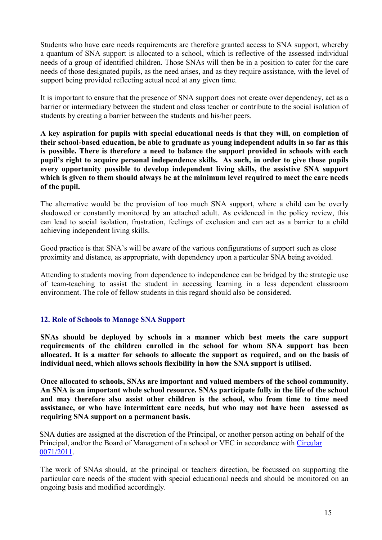Students who have care needs requirements are therefore granted access to SNA support, whereby a quantum of SNA support is allocated to a school, which is reflective of the assessed individual needs of a group of identified children. Those SNAs will then be in a position to cater for the care needs of those designated pupils, as the need arises, and as they require assistance, with the level of support being provided reflecting actual need at any given time.

It is important to ensure that the presence of SNA support does not create over dependency, act as a barrier or intermediary between the student and class teacher or contribute to the social isolation of students by creating a barrier between the students and his/her peers.

**A key aspiration for pupils with special educational needs is that they will, on completion of their school-based education, be able to graduate as young independent adults in so far as this is possible. There is therefore a need to balance the support provided in schools with each pupil's right to acquire personal independence skills. As such, in order to give those pupils every opportunity possible to develop independent living skills, the assistive SNA support which is given to them should always be at the minimum level required to meet the care needs of the pupil.** 

The alternative would be the provision of too much SNA support, where a child can be overly shadowed or constantly monitored by an attached adult. As evidenced in the policy review, this can lead to social isolation, frustration, feelings of exclusion and can act as a barrier to a child achieving independent living skills.

Good practice is that SNA's will be aware of the various configurations of support such as close proximity and distance, as appropriate, with dependency upon a particular SNA being avoided.

Attending to students moving from dependence to independence can be bridged by the strategic use of team-teaching to assist the student in accessing learning in a less dependent classroom environment. The role of fellow students in this regard should also be considered.

## **12. Role of Schools to Manage SNA Support**

**SNAs should be deployed by schools in a manner which best meets the care support requirements of the children enrolled in the school for whom SNA support has been allocated. It is a matter for schools to allocate the support as required, and on the basis of individual need, which allows schools flexibility in how the SNA support is utilised.**

**Once allocated to schools, SNAs are important and valued members of the school community. An SNA is an important whole school resource. SNAs participate fully in the life of the school and may therefore also assist other children is the school, who from time to time need assistance, or who have intermittent care needs, but who may not have been assessed as requiring SNA support on a permanent basis.** 

SNA duties are assigned at the discretion of the Principal, or another person acting on behalf of the Principal, and/or the Board of Management of a school or VEC in accordance with [Circular](http://www.education.ie/en/Circulars-and-Forms/Active-Circulars/cl0071_2011.pdf)  [0071/2011.](http://www.education.ie/en/Circulars-and-Forms/Active-Circulars/cl0071_2011.pdf)

The work of SNAs should, at the principal or teachers direction, be focussed on supporting the particular care needs of the student with special educational needs and should be monitored on an ongoing basis and modified accordingly.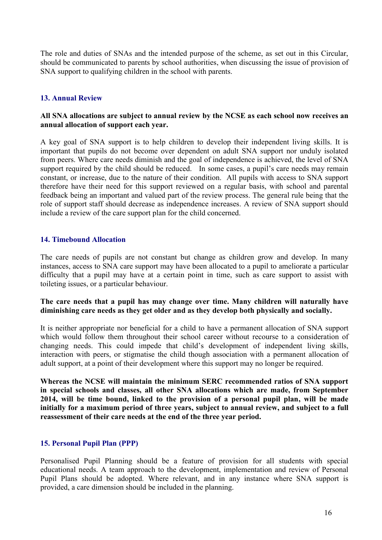The role and duties of SNAs and the intended purpose of the scheme, as set out in this Circular, should be communicated to parents by school authorities, when discussing the issue of provision of SNA support to qualifying children in the school with parents.

## **13. Annual Review**

#### **All SNA allocations are subject to annual review by the NCSE as each school now receives an annual allocation of support each year.**

A key goal of SNA support is to help children to develop their independent living skills. It is important that pupils do not become over dependent on adult SNA support nor unduly isolated from peers. Where care needs diminish and the goal of independence is achieved, the level of SNA support required by the child should be reduced. In some cases, a pupil's care needs may remain constant, or increase, due to the nature of their condition. All pupils with access to SNA support therefore have their need for this support reviewed on a regular basis, with school and parental feedback being an important and valued part of the review process. The general rule being that the role of support staff should decrease as independence increases. A review of SNA support should include a review of the care support plan for the child concerned.

#### **14. Timebound Allocation**

The care needs of pupils are not constant but change as children grow and develop. In many instances, access to SNA care support may have been allocated to a pupil to ameliorate a particular difficulty that a pupil may have at a certain point in time, such as care support to assist with toileting issues, or a particular behaviour.

#### **The care needs that a pupil has may change over time. Many children will naturally have diminishing care needs as they get older and as they develop both physically and socially.**

It is neither appropriate nor beneficial for a child to have a permanent allocation of SNA support which would follow them throughout their school career without recourse to a consideration of changing needs. This could impede that child's development of independent living skills, interaction with peers, or stigmatise the child though association with a permanent allocation of adult support, at a point of their development where this support may no longer be required.

**Whereas the NCSE will maintain the minimum SERC recommended ratios of SNA support in special schools and classes, all other SNA allocations which are made, from September 2014, will be time bound, linked to the provision of a personal pupil plan, will be made initially for a maximum period of three years, subject to annual review, and subject to a full reassessment of their care needs at the end of the three year period.**

## **15. Personal Pupil Plan (PPP)**

Personalised Pupil Planning should be a feature of provision for all students with special educational needs. A team approach to the development, implementation and review of Personal Pupil Plans should be adopted. Where relevant, and in any instance where SNA support is provided, a care dimension should be included in the planning.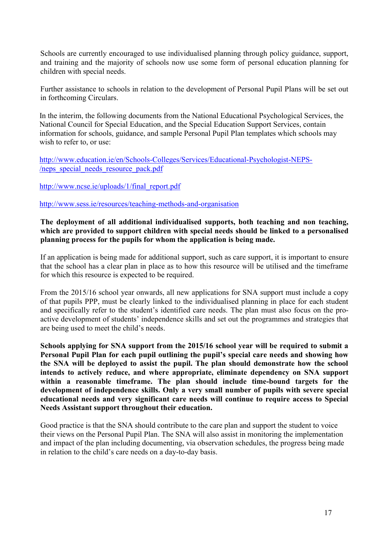Schools are currently encouraged to use individualised planning through policy guidance, support, and training and the majority of schools now use some form of personal education planning for children with special needs.

Further assistance to schools in relation to the development of Personal Pupil Plans will be set out in forthcoming Circulars.

In the interim, the following documents from the National Educational Psychological Services, the National Council for Special Education, and the Special Education Support Services, contain information for schools, guidance, and sample Personal Pupil Plan templates which schools may wish to refer to, or use:

[http://www.education.ie/en/Schools-Colleges/Services/Educational-Psychologist-NEPS-](http://www.education.ie/en/Schools-Colleges/Services/Educational-Psychologist-NEPS-/neps_special_needs_resource_pack.pdf) [/neps\\_special\\_needs\\_resource\\_pack.pdf](http://www.education.ie/en/Schools-Colleges/Services/Educational-Psychologist-NEPS-/neps_special_needs_resource_pack.pdf)

[http://www.ncse.ie/uploads/1/final\\_report.pdf](http://www.ncse.ie/uploads/1/final_report.pdf)

<http://www.sess.ie/resources/teaching-methods-and-organisation>

## **The deployment of all additional individualised supports, both teaching and non teaching, which are provided to support children with special needs should be linked to a personalised planning process for the pupils for whom the application is being made.**

If an application is being made for additional support, such as care support, it is important to ensure that the school has a clear plan in place as to how this resource will be utilised and the timeframe for which this resource is expected to be required.

From the 2015/16 school year onwards, all new applications for SNA support must include a copy of that pupils PPP, must be clearly linked to the individualised planning in place for each student and specifically refer to the student's identified care needs. The plan must also focus on the proactive development of students' independence skills and set out the programmes and strategies that are being used to meet the child's needs.

**Schools applying for SNA support from the 2015/16 school year will be required to submit a Personal Pupil Plan for each pupil outlining the pupil's special care needs and showing how the SNA will be deployed to assist the pupil. The plan should demonstrate how the school intends to actively reduce, and where appropriate, eliminate dependency on SNA support within a reasonable timeframe. The plan should include time-bound targets for the development of independence skills. Only a very small number of pupils with severe special educational needs and very significant care needs will continue to require access to Special Needs Assistant support throughout their education.**

Good practice is that the SNA should contribute to the care plan and support the student to voice their views on the Personal Pupil Plan. The SNA will also assist in monitoring the implementation and impact of the plan including documenting, via observation schedules, the progress being made in relation to the child's care needs on a day-to-day basis.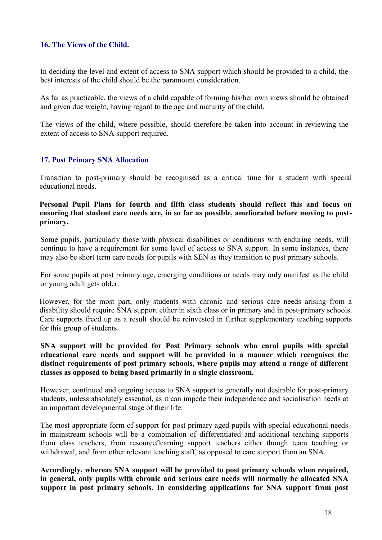### **16. The Views of the Child.**

In deciding the level and extent of access to SNA support which should be provided to a child, the best interests of the child should be the paramount consideration.

As far as practicable, the views of a child capable of forming his/her own views should be obtained and given due weight, having regard to the age and maturity of the child.

The views of the child, where possible, should therefore be taken into account in reviewing the extent of access to SNA support required.

#### **17. Post Primary SNA Allocation**

Transition to post-primary should be recognised as a critical time for a student with special educational needs.

#### **Personal Pupil Plans for fourth and fifth class students should reflect this and focus on ensuring that student care needs are, in so far as possible, ameliorated before moving to postprimary.**

Some pupils, particularly those with physical disabilities or conditions with enduring needs, will continue to have a requirement for some level of access to SNA support. In some instances, there may also be short term care needs for pupils with SEN as they transition to post primary schools.

For some pupils at post primary age, emerging conditions or needs may only manifest as the child or young adult gets older.

However, for the most part, only students with chronic and serious care needs arising from a disability should require SNA support either in sixth class or in primary and in post-primary schools. Care supports freed up as a result should be reinvested in further supplementary teaching supports for this group of students.

#### **SNA support will be provided for Post Primary schools who enrol pupils with special educational care needs and support will be provided in a manner which recognises the distinct requirements of post primary schools, where pupils may attend a range of different classes as opposed to being based primarily in a single classroom.**

However, continued and ongoing access to SNA support is generally not desirable for post-primary students, unless absolutely essential, as it can impede their independence and socialisation needs at an important developmental stage of their life.

The most appropriate form of support for post primary aged pupils with special educational needs in mainstream schools will be a combination of differentiated and additional teaching supports from class teachers, from resource/learning support teachers either though team teaching or withdrawal, and from other relevant teaching staff, as opposed to care support from an SNA.

**Accordingly, whereas SNA support will be provided to post primary schools when required, in general, only pupils with chronic and serious care needs will normally be allocated SNA support in post primary schools. In considering applications for SNA support from post**